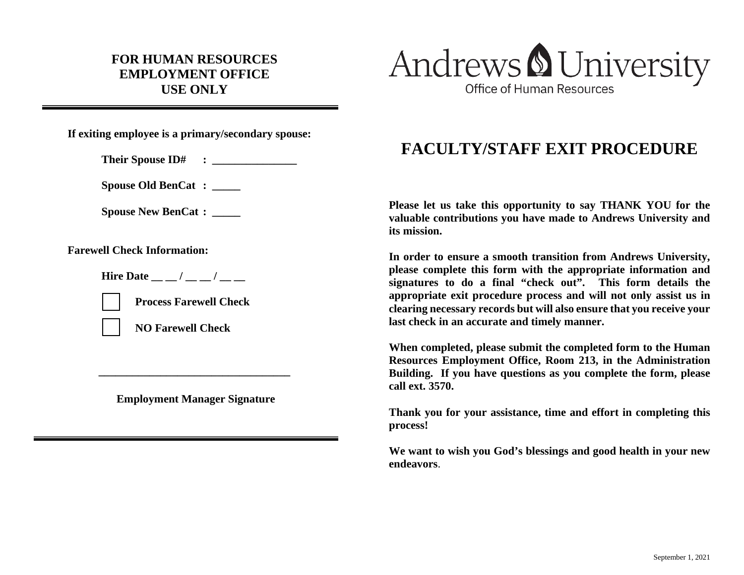## **FOR HUMAN RESOURCES EMPLOYMENT OFFICE USE ONLY**



**If exiting employee is a primary/secondary spouse:**

**Their Spouse ID# : \_\_\_\_\_\_\_\_\_\_\_\_\_\_\_**

**Spouse Old BenCat : \_\_\_\_\_**

**Spouse New BenCat : \_\_\_\_\_**

**Farewell Check Information:**

**Hire Date**  $\qquad$  /  $\qquad$  /



**Process Farewell Check**

**NO Farewell Check**

**Employment Manager Signature**

**\_\_\_\_\_\_\_\_\_\_\_\_\_\_\_\_\_\_\_\_\_\_\_\_\_\_\_\_\_\_\_\_\_\_**

## **FACULTY/STAFF EXIT PROCEDURE**

**Please let us take this opportunity to say THANK YOU for the valuable contributions you have made to Andrews University and its mission.**

**In order to ensure a smooth transition from Andrews University, please complete this form with the appropriate information and signatures to do a final "check out". This form details the appropriate exit procedure process and will not only assist us in clearing necessary records but will also ensure that you receive your last check in an accurate and timely manner.**

**When completed, please submit the completed form to the Human Resources Employment Office, Room 213, in the Administration Building. If you have questions as you complete the form, please call ext. 3570.**

**Thank you for your assistance, time and effort in completing this process!**

**We want to wish you God's blessings and good health in your new endeavors**.